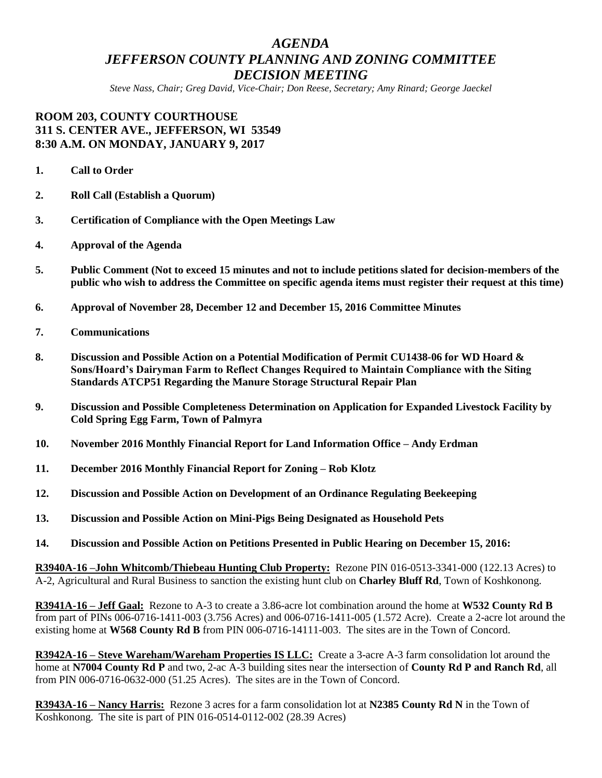# *AGENDA JEFFERSON COUNTY PLANNING AND ZONING COMMITTEE DECISION MEETING*

*Steve Nass, Chair; Greg David, Vice-Chair; Don Reese, Secretary; Amy Rinard; George Jaeckel*

## **ROOM 203, COUNTY COURTHOUSE 311 S. CENTER AVE., JEFFERSON, WI 53549 8:30 A.M. ON MONDAY, JANUARY 9, 2017**

- **1. Call to Order**
- **2. Roll Call (Establish a Quorum)**
- **3. Certification of Compliance with the Open Meetings Law**
- **4. Approval of the Agenda**
- **5. Public Comment (Not to exceed 15 minutes and not to include petitions slated for decision-members of the public who wish to address the Committee on specific agenda items must register their request at this time)**
- **6. Approval of November 28, December 12 and December 15, 2016 Committee Minutes**
- **7. Communications**
- **8. Discussion and Possible Action on a Potential Modification of Permit CU1438-06 for WD Hoard & Sons/Hoard's Dairyman Farm to Reflect Changes Required to Maintain Compliance with the Siting Standards ATCP51 Regarding the Manure Storage Structural Repair Plan**
- **9. Discussion and Possible Completeness Determination on Application for Expanded Livestock Facility by Cold Spring Egg Farm, Town of Palmyra**
- **10. November 2016 Monthly Financial Report for Land Information Office – Andy Erdman**
- **11. December 2016 Monthly Financial Report for Zoning – Rob Klotz**
- **12. Discussion and Possible Action on Development of an Ordinance Regulating Beekeeping**
- **13. Discussion and Possible Action on Mini-Pigs Being Designated as Household Pets**
- **14. Discussion and Possible Action on Petitions Presented in Public Hearing on December 15, 2016:**

**R3940A-16 –John Whitcomb/Thiebeau Hunting Club Property:** Rezone PIN 016-0513-3341-000 (122.13 Acres) to A-2, Agricultural and Rural Business to sanction the existing hunt club on **Charley Bluff Rd**, Town of Koshkonong.

**R3941A-16 – Jeff Gaal:** Rezone to A-3 to create a 3.86-acre lot combination around the home at **W532 County Rd B** from part of PINs 006-0716-1411-003 (3.756 Acres) and 006-0716-1411-005 (1.572 Acre). Create a 2-acre lot around the existing home at **W568 County Rd B** from PIN 006-0716-14111-003. The sites are in the Town of Concord.

**R3942A-16 – Steve Wareham/Wareham Properties IS LLC:** Create a 3-acre A-3 farm consolidation lot around the home at **N7004 County Rd P** and two, 2-ac A-3 building sites near the intersection of **County Rd P and Ranch Rd**, all from PIN 006-0716-0632-000 (51.25 Acres). The sites are in the Town of Concord.

**R3943A-16 – Nancy Harris:** Rezone 3 acres for a farm consolidation lot at **N2385 County Rd N** in the Town of Koshkonong. The site is part of PIN 016-0514-0112-002 (28.39 Acres)